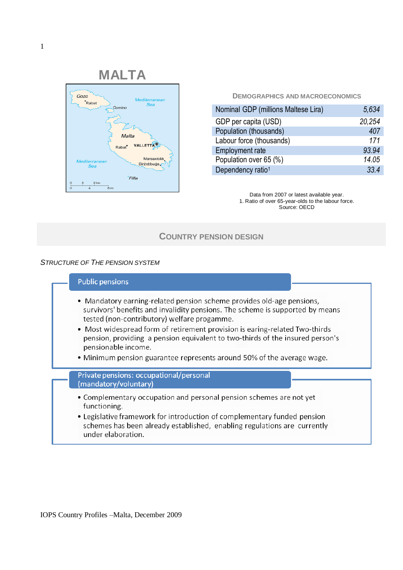

**DEMOGRAPHICS AND MACROECONOMICS**

| Nominal GDP (millions Maltese Lira) | 5,634  |
|-------------------------------------|--------|
| GDP per capita (USD)                | 20,254 |
| Population (thousands)              | 407    |
| Labour force (thousands)            | 171    |
| <b>Employment rate</b>              | 93.94  |
| Population over 65 (%)              | 14.05  |
| Dependency ratio <sup>1</sup>       | 334    |

Data from 2007 or latest available year. 1. Ratio of over 65-year-olds to the labour force. Source: OECD

# **COUNTRY PENSION DESIGN**

#### *STRUCTURE OF THE PENSION SYSTEM*

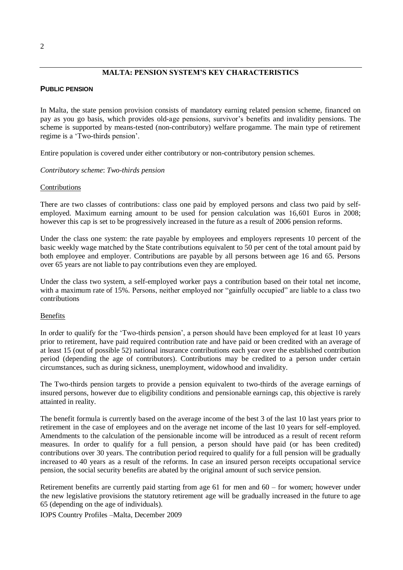# **MALTA: PENSION SYSTEM'S KEY CHARACTERISTICS**

#### **PUBLIC PENSION**

In Malta, the state pension provision consists of mandatory earning related pension scheme, financed on pay as you go basis, which provides old-age pensions, survivor's benefits and invalidity pensions. The scheme is supported by means-tested (non-contributory) welfare progamme. The main type of retirement regime is a "Two-thirds pension".

Entire population is covered under either contributory or non-contributory pension schemes.

*Contributory scheme*: *Two-thirds pension*

#### Contributions

There are two classes of contributions: class one paid by employed persons and class two paid by selfemployed. Maximum earning amount to be used for pension calculation was 16,601 Euros in 2008; however this cap is set to be progressively increased in the future as a result of 2006 pension reforms.

Under the class one system: the rate payable by employees and employers represents 10 percent of the basic weekly wage matched by the State contributions equivalent to 50 per cent of the total amount paid by both employee and employer. Contributions are payable by all persons between age 16 and 65. Persons over 65 years are not liable to pay contributions even they are employed.

Under the class two system, a self-employed worker pays a contribution based on their total net income, with a maximum rate of 15%. Persons, neither employed nor "gainfully occupied" are liable to a class two contributions

## Benefits

In order to qualify for the 'Two-thirds pension', a person should have been employed for at least 10 years prior to retirement, have paid required contribution rate and have paid or been credited with an average of at least 15 (out of possible 52) national insurance contributions each year over the established contribution period (depending the age of contributors). Contributions may be credited to a person under certain circumstances, such as during sickness, unemployment, widowhood and invalidity.

The Two-thirds pension targets to provide a pension equivalent to two-thirds of the average earnings of insured persons, however due to eligibility conditions and pensionable earnings cap, this objective is rarely attainted in reality.

The benefit formula is currently based on the average income of the best 3 of the last 10 last years prior to retirement in the case of employees and on the average net income of the last 10 years for self-employed. Amendments to the calculation of the pensionable income will be introduced as a result of recent reform measures. In order to qualify for a full pension, a person should have paid (or has been credited) contributions over 30 years. The contribution period required to qualify for a full pension will be gradually increased to 40 years as a result of the reforms. In case an insured person receipts occupational service pension, the social security benefits are abated by the original amount of such service pension.

Retirement benefits are currently paid starting from age 61 for men and 60 – for women; however under the new legislative provisions the statutory retirement age will be gradually increased in the future to age 65 (depending on the age of individuals).

IOPS Country Profiles –Malta, December 2009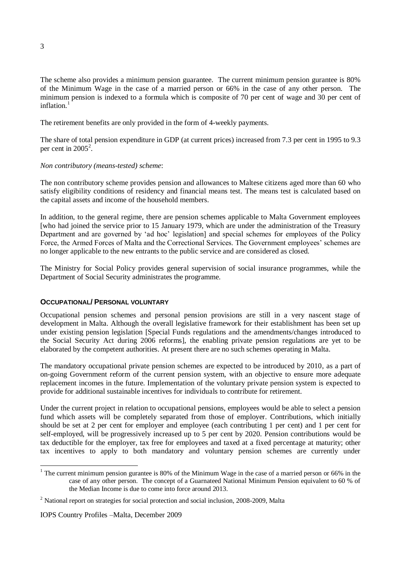The scheme also provides a minimum pension guarantee. The current minimum pension gurantee is 80% of the Minimum Wage in the case of a married person or 66% in the case of any other person. The minimum pension is indexed to a formula which is composite of 70 per cent of wage and 30 per cent of inflation<sup>1</sup>

The retirement benefits are only provided in the form of 4-weekly payments.

The share of total pension expenditure in GDP (at current prices) increased from 7.3 per cent in 1995 to 9.3 per cent in  $2005^2$ .

#### *Non contributory (means-tested) scheme*:

The non contributory scheme provides pension and allowances to Maltese citizens aged more than 60 who satisfy eligibility conditions of residency and financial means test. The means test is calculated based on the capital assets and income of the household members.

In addition, to the general regime, there are pension schemes applicable to Malta Government employees [who had joined the service prior to 15 January 1979, which are under the administration of the Treasury Department and are governed by 'ad hoc' legislation] and special schemes for employees of the Policy Force, the Armed Forces of Malta and the Correctional Services. The Government employees' schemes are no longer applicable to the new entrants to the public service and are considered as closed.

The Ministry for Social Policy provides general supervision of social insurance programmes, while the Department of Social Security administrates the programme.

## **OCCUPATIONAL/ PERSONAL VOLUNTARY**

Occupational pension schemes and personal pension provisions are still in a very nascent stage of development in Malta. Although the overall legislative framework for their establishment has been set up under existing pension legislation [Special Funds regulations and the amendments/changes introduced to the Social Security Act during 2006 reforms], the enabling private pension regulations are yet to be elaborated by the competent authorities. At present there are no such schemes operating in Malta.

The mandatory occupational private pension schemes are expected to be introduced by 2010, as a part of on-going Government reform of the current pension system, with an objective to ensure more adequate replacement incomes in the future. Implementation of the voluntary private pension system is expected to provide for additional sustainable incentives for individuals to contribute for retirement.

Under the current project in relation to occupational pensions, employees would be able to select a pension fund which assets will be completely separated from those of employer. Contributions, which initially should be set at 2 per cent for employer and employee (each contributing 1 per cent) and 1 per cent for self-employed, will be progressively increased up to 5 per cent by 2020. Pension contributions would be tax deductible for the employer, tax free for employees and taxed at a fixed percentage at maturity; other tax incentives to apply to both mandatory and voluntary pension schemes are currently under

-

<sup>&</sup>lt;sup>1</sup> The current minimum pension gurantee is 80% of the Minimum Wage in the case of a married person or 66% in the case of any other person. The concept of a Guarnateed National Minimum Pension equivalent to 60 % of the Median Income is due to come into force around 2013.

<sup>&</sup>lt;sup>2</sup> National report on strategies for social protection and social inclusion, 2008-2009, Malta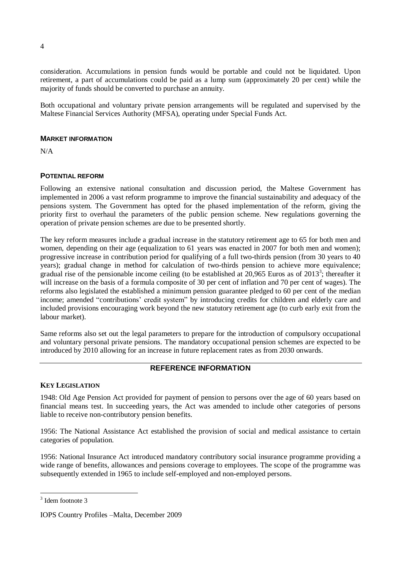consideration. Accumulations in pension funds would be portable and could not be liquidated. Upon retirement, a part of accumulations could be paid as a lump sum (approximately 20 per cent) while the majority of funds should be converted to purchase an annuity.

Both occupational and voluntary private pension arrangements will be regulated and supervised by the Maltese Financial Services Authority (MFSA), operating under Special Funds Act.

### **MARKET INFORMATION**

N/A

# **POTENTIAL REFORM**

Following an extensive national consultation and discussion period, the Maltese Government has implemented in 2006 a vast reform programme to improve the financial sustainability and adequacy of the pensions system. The Government has opted for the phased implementation of the reform, giving the priority first to overhaul the parameters of the public pension scheme. New regulations governing the operation of private pension schemes are due to be presented shortly.

The key reform measures include a gradual increase in the statutory retirement age to 65 for both men and women, depending on their age (equalization to 61 years was enacted in 2007 for both men and women); progressive increase in contribution period for qualifying of a full two-thirds pension (from 30 years to 40 years); gradual change in method for calculation of two-thirds pension to achieve more equivalence; gradual rise of the pensionable income ceiling (to be established at  $20,965$  Euros as of  $2013^3$ ; thereafter it will increase on the basis of a formula composite of 30 per cent of inflation and 70 per cent of wages). The reforms also legislated the established a minimum pension guarantee pledged to 60 per cent of the median income; amended "contributions" credit system" by introducing credits for children and elderly care and included provisions encouraging work beyond the new statutory retirement age (to curb early exit from the labour market).

Same reforms also set out the legal parameters to prepare for the introduction of compulsory occupational and voluntary personal private pensions. The mandatory occupational pension schemes are expected to be introduced by 2010 allowing for an increase in future replacement rates as from 2030 onwards.

# **REFERENCE INFORMATION**

## **KEY LEGISLATION**

1948: Old Age Pension Act provided for payment of pension to persons over the age of 60 years based on financial means test. In succeeding years, the Act was amended to include other categories of persons liable to receive non-contributory pension benefits.

1956: The National Assistance Act established the provision of social and medical assistance to certain categories of population.

1956: National Insurance Act introduced mandatory contributory social insurance programme providing a wide range of benefits, allowances and pensions coverage to employees. The scope of the programme was subsequently extended in 1965 to include self-employed and non-employed persons.

1

4

<sup>3</sup> Idem footnote 3

IOPS Country Profiles –Malta, December 2009